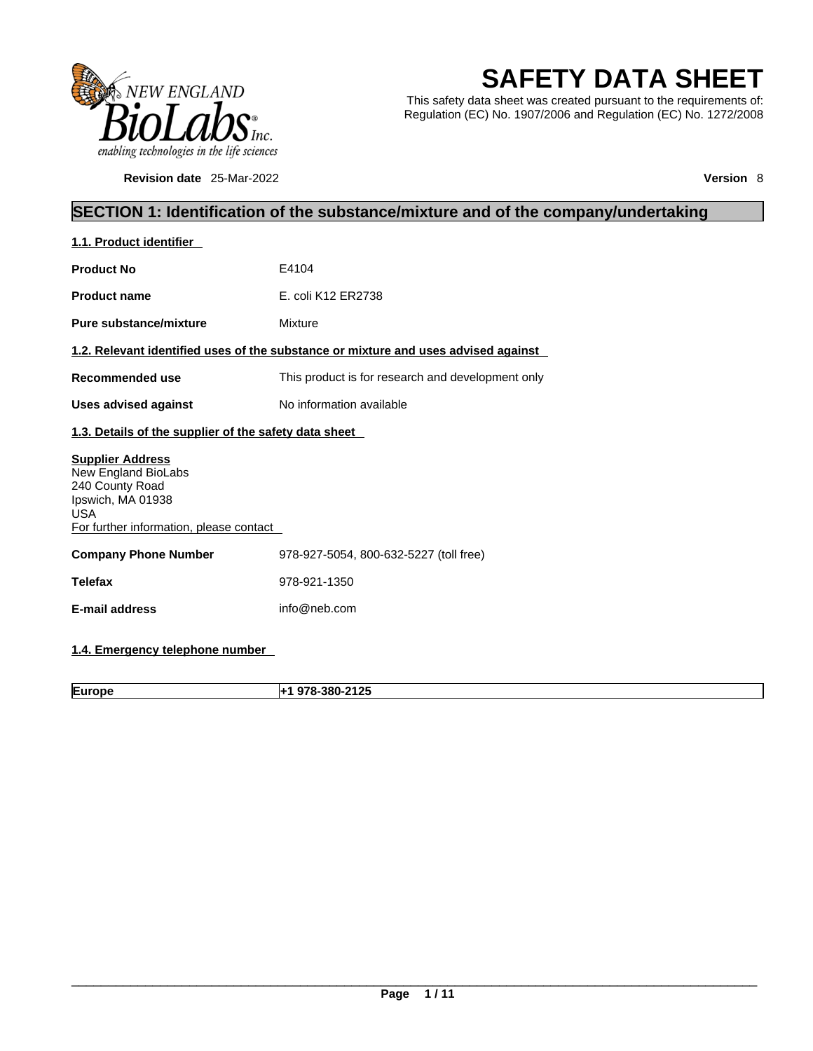

**Revision date** 25-Mar-2022 **Version** 8

# **SAFETY DATA SHEET**

This safety data sheet was created pursuant to the requirements of: Regulation (EC) No. 1907/2006 and Regulation (EC) No. 1272/2008

### **SECTION 1: Identification of the substance/mixture and of the company/undertaking**

| 1.1. Product identifier                                                                                                                         |                                                                                    |  |  |
|-------------------------------------------------------------------------------------------------------------------------------------------------|------------------------------------------------------------------------------------|--|--|
| <b>Product No</b>                                                                                                                               | E4104                                                                              |  |  |
| <b>Product name</b>                                                                                                                             | E. coli K12 ER2738                                                                 |  |  |
| <b>Pure substance/mixture</b>                                                                                                                   | Mixture                                                                            |  |  |
|                                                                                                                                                 | 1.2. Relevant identified uses of the substance or mixture and uses advised against |  |  |
| Recommended use                                                                                                                                 | This product is for research and development only                                  |  |  |
| <b>Uses advised against</b>                                                                                                                     | No information available                                                           |  |  |
| 1.3. Details of the supplier of the safety data sheet                                                                                           |                                                                                    |  |  |
| <b>Supplier Address</b><br>New England BioLabs<br>240 County Road<br>Ipswich, MA 01938<br><b>USA</b><br>For further information, please contact |                                                                                    |  |  |
| <b>Company Phone Number</b>                                                                                                                     | 978-927-5054, 800-632-5227 (toll free)                                             |  |  |
| <b>Telefax</b>                                                                                                                                  | 978-921-1350                                                                       |  |  |
| <b>E-mail address</b>                                                                                                                           | info@neb.com                                                                       |  |  |
|                                                                                                                                                 |                                                                                    |  |  |

**1.4. Emergency telephone number** 

**Europe +1 978-380-2125**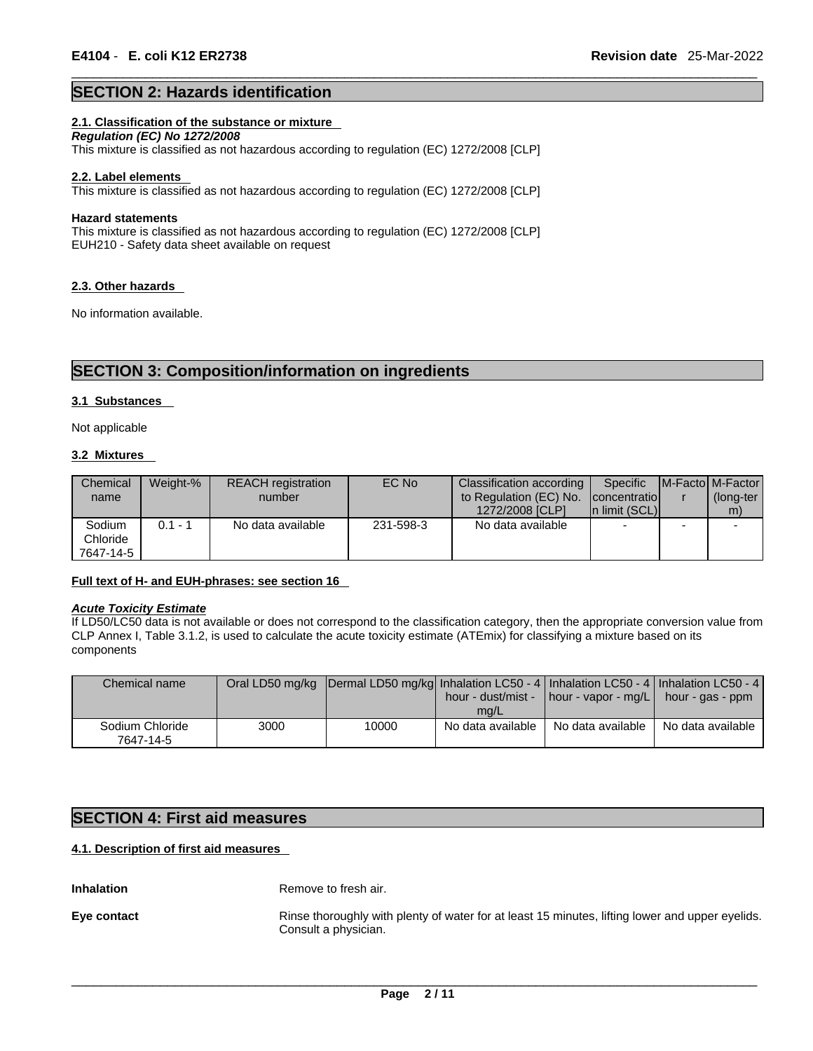### **SECTION 2: Hazards identification**

### **2.1. Classification of the substance or mixture**

*Regulation (EC) No 1272/2008*  This mixture is classified as not hazardous according to regulation (EC) 1272/2008 [CLP]

#### **2.2. Label elements**

This mixture is classified as not hazardous according to regulation (EC) 1272/2008 [CLP]

#### **Hazard statements**

This mixture is classified as not hazardous according to regulation (EC) 1272/2008 [CLP] EUH210 - Safety data sheet available on request

#### **2.3. Other hazards**

No information available.

### **SECTION 3: Composition/information on ingredients**

### **3.1 Substances**

Not applicable

### **3.2 Mixtures**

| Chemical  | Weight-% | <b>REACH</b> registration | EC No     | Classification according | Specific                 |   | <b>IM-Factol M-Factor</b> |
|-----------|----------|---------------------------|-----------|--------------------------|--------------------------|---|---------------------------|
| name      |          | number                    |           | to Regulation (EC) No.   | concentratio             |   | (long-ter                 |
|           |          |                           |           | 1272/2008 [CLP]          | In limit (SCL)           |   | m)                        |
| Sodium    | 0.1 - 1  | No data available         | 231-598-3 | No data available        | $\overline{\phantom{0}}$ | - |                           |
| Chloride  |          |                           |           |                          |                          |   |                           |
| 7647-14-5 |          |                           |           |                          |                          |   |                           |

### **Full text of H- and EUH-phrases: see section 16**

#### *Acute Toxicity Estimate*

If LD50/LC50 data is not available or does not correspond to the classification category, then the appropriate conversion value from CLP Annex I, Table 3.1.2, is used to calculate the acute toxicity estimate (ATEmix) for classifying a mixture based on its components

| Chemical name                |      | Oral LD50 mg/kg  Dermal LD50 mg/kg  Inhalation LC50 - 4   Inhalation LC50 - 4   Inhalation LC50 - 4 | mg/L              | hour - dust/mist - $\vert$ hour - vapor - mg/L $\vert$ hour - gas - ppm |                   |
|------------------------------|------|-----------------------------------------------------------------------------------------------------|-------------------|-------------------------------------------------------------------------|-------------------|
| Sodium Chloride<br>7647-14-5 | 3000 | 10000                                                                                               | No data available | No data available                                                       | No data available |

### **SECTION 4: First aid measures**

### **4.1. Description of first aid measures**

**Inhalation** Remove to fresh air.

**Eye contact** Rinse thoroughly with plenty of water for at least 15 minutes, lifting lower and upper eyelids. Consult a physician.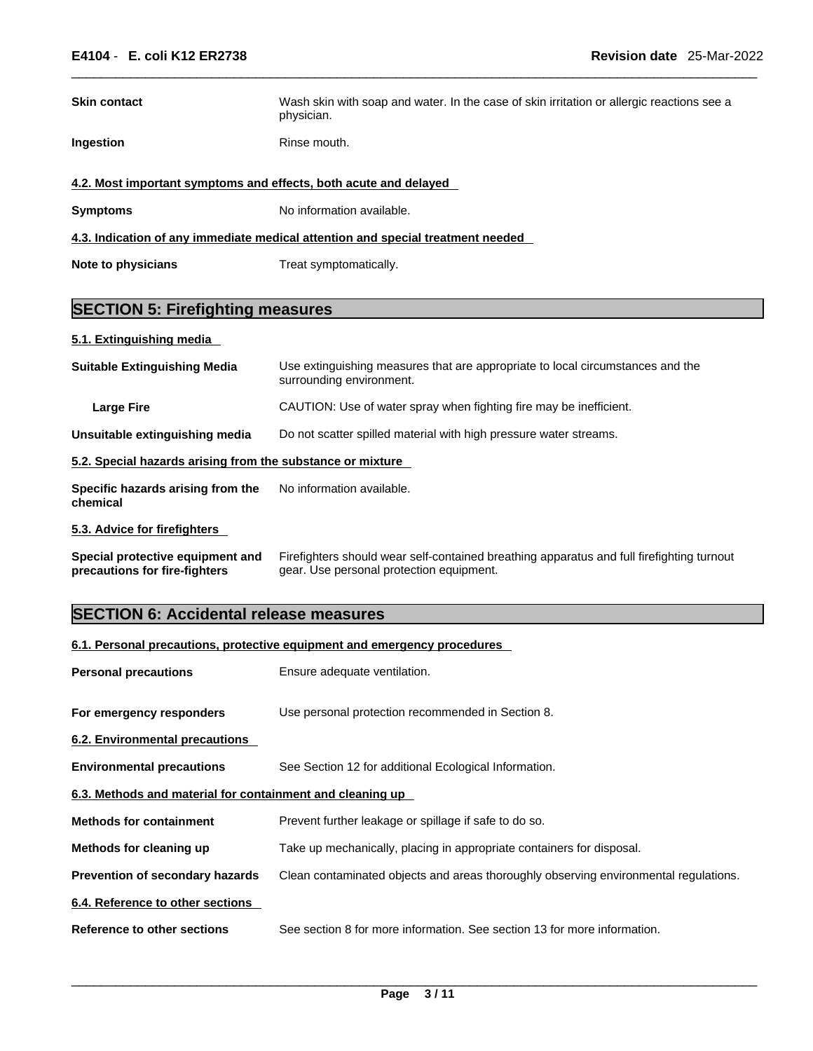| <b>Skin contact</b>                                                             | Wash skin with soap and water. In the case of skin irritation or allergic reactions see a<br>physician. |  |  |  |  |
|---------------------------------------------------------------------------------|---------------------------------------------------------------------------------------------------------|--|--|--|--|
| Ingestion                                                                       | Rinse mouth.                                                                                            |  |  |  |  |
| 4.2. Most important symptoms and effects, both acute and delayed                |                                                                                                         |  |  |  |  |
| <b>Symptoms</b>                                                                 | No information available.                                                                               |  |  |  |  |
| 4.3. Indication of any immediate medical attention and special treatment needed |                                                                                                         |  |  |  |  |
| Note to physicians                                                              | Treat symptomatically.                                                                                  |  |  |  |  |

### **SECTION 5: Firefighting measures**

### **5.1. Extinguishing media**

| <b>Suitable Extinguishing Media</b>                        | Use extinguishing measures that are appropriate to local circumstances and the<br>surrounding environment. |
|------------------------------------------------------------|------------------------------------------------------------------------------------------------------------|
| <b>Large Fire</b>                                          | CAUTION: Use of water spray when fighting fire may be inefficient.                                         |
| Unsuitable extinguishing media                             | Do not scatter spilled material with high pressure water streams.                                          |
| 5.2. Special hazards arising from the substance or mixture |                                                                                                            |
| Specific hazards arising from the<br>chemical              | No information available.                                                                                  |
| 5.3. Advice for firefighters                               |                                                                                                            |
| Special protective equipment and                           | Firefighters should wear self-contained breathing apparatus and full firefighting turnout                  |

## **precautions for fire-fighters** gear. Use personal protection equipment.

### **SECTION 6: Accidental release measures**

| 6.1. Personal precautions, protective equipment and emergency procedures |                                                                                      |  |  |
|--------------------------------------------------------------------------|--------------------------------------------------------------------------------------|--|--|
| <b>Personal precautions</b>                                              | Ensure adequate ventilation.                                                         |  |  |
| For emergency responders                                                 | Use personal protection recommended in Section 8.                                    |  |  |
| 6.2. Environmental precautions                                           |                                                                                      |  |  |
| <b>Environmental precautions</b>                                         | See Section 12 for additional Ecological Information.                                |  |  |
| 6.3. Methods and material for containment and cleaning up                |                                                                                      |  |  |
| <b>Methods for containment</b>                                           | Prevent further leakage or spillage if safe to do so.                                |  |  |
| Methods for cleaning up                                                  | Take up mechanically, placing in appropriate containers for disposal.                |  |  |
| <b>Prevention of secondary hazards</b>                                   | Clean contaminated objects and areas thoroughly observing environmental regulations. |  |  |
| 6.4. Reference to other sections                                         |                                                                                      |  |  |
| Reference to other sections                                              | See section 8 for more information. See section 13 for more information.             |  |  |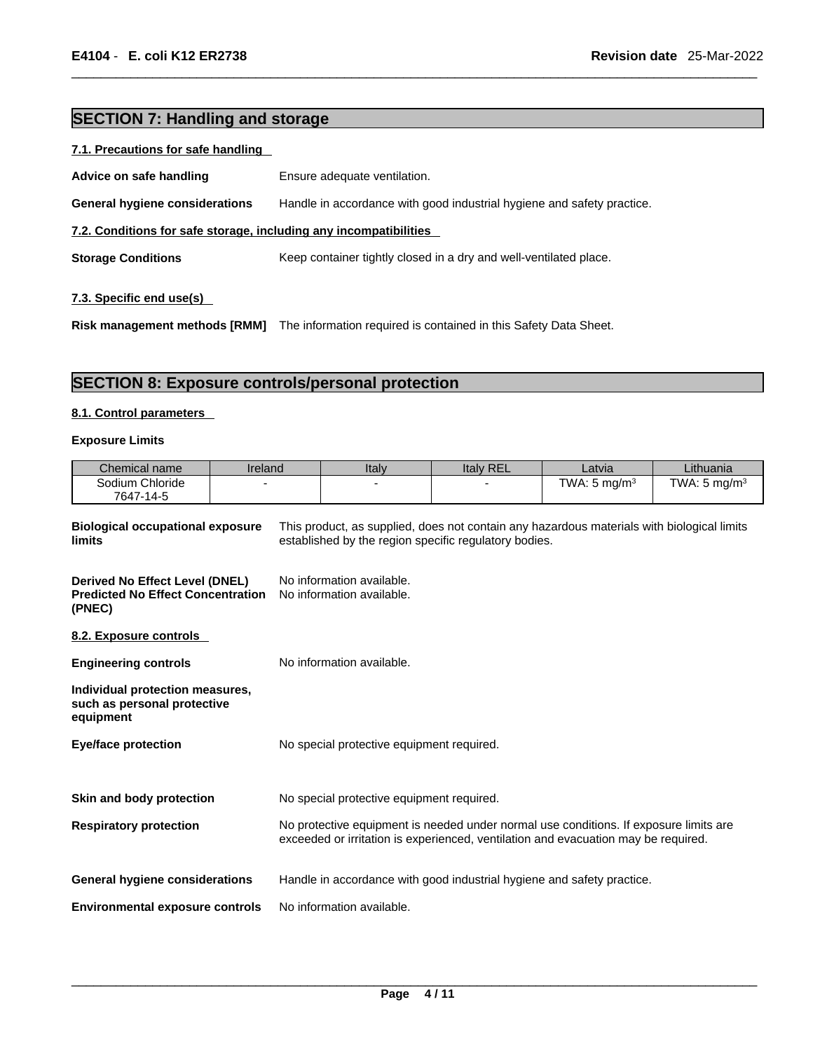### **SECTION 7: Handling and storage**

|--|

| Advice on safe handling                                           | Ensure adequate ventilation.                                           |  |  |  |
|-------------------------------------------------------------------|------------------------------------------------------------------------|--|--|--|
| General hygiene considerations                                    | Handle in accordance with good industrial hygiene and safety practice. |  |  |  |
| 7.2. Conditions for safe storage, including any incompatibilities |                                                                        |  |  |  |
| <b>Storage Conditions</b>                                         | Keep container tightly closed in a dry and well-ventilated place.      |  |  |  |
|                                                                   |                                                                        |  |  |  |

### **7.3. Specific end use(s)**

**Risk management methods [RMM]** The information required iscontained in this Safety Data Sheet.

### **SECTION 8: Exposure controls/personal protection**

### **8.1. Control parameters**

#### **Exposure Limits**

| Chemical name                                                                                                                                                                                            | <b>Ireland</b> | Italy                                                  | <b>Italy REL</b> | Latvia                  | Lithuania               |
|----------------------------------------------------------------------------------------------------------------------------------------------------------------------------------------------------------|----------------|--------------------------------------------------------|------------------|-------------------------|-------------------------|
| Sodium Chloride<br>7647-14-5                                                                                                                                                                             |                |                                                        |                  | TWA: $5 \text{ mg/m}^3$ | TWA: $5 \text{ mg/m}^3$ |
| This product, as supplied, does not contain any hazardous materials with biological limits<br><b>Biological occupational exposure</b><br>established by the region specific regulatory bodies.<br>limits |                |                                                        |                  |                         |                         |
| <b>Derived No Effect Level (DNEL)</b><br><b>Predicted No Effect Concentration</b><br>(PNEC)                                                                                                              |                | No information available.<br>No information available. |                  |                         |                         |

### **8.2. Exposure controls**

| <b>Engineering controls</b>                                                 | No information available.                                                                                                                                                   |
|-----------------------------------------------------------------------------|-----------------------------------------------------------------------------------------------------------------------------------------------------------------------------|
| Individual protection measures,<br>such as personal protective<br>equipment |                                                                                                                                                                             |
| <b>Eye/face protection</b>                                                  | No special protective equipment required.                                                                                                                                   |
|                                                                             |                                                                                                                                                                             |
| Skin and body protection                                                    | No special protective equipment required.                                                                                                                                   |
| <b>Respiratory protection</b>                                               | No protective equipment is needed under normal use conditions. If exposure limits are<br>exceeded or irritation is experienced, ventilation and evacuation may be required. |
| <b>General hygiene considerations</b>                                       | Handle in accordance with good industrial hygiene and safety practice.                                                                                                      |
| <b>Environmental exposure controls</b>                                      | No information available.                                                                                                                                                   |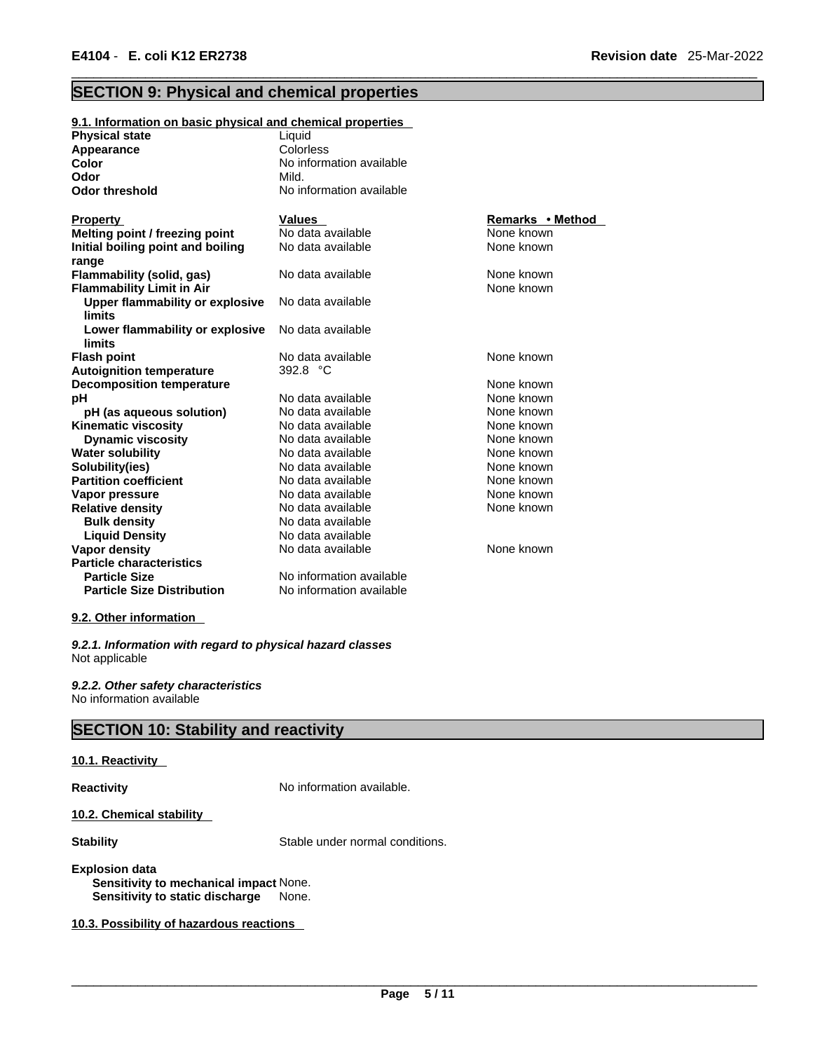### **SECTION 9: Physical and chemical properties**

| 9.1. Information on basic physical and chemical properties           |                          |                  |
|----------------------------------------------------------------------|--------------------------|------------------|
| <b>Physical state</b>                                                | Liquid                   |                  |
| <b>Appearance</b>                                                    | Colorless                |                  |
| Color                                                                | No information available |                  |
| Odor                                                                 | Mild.                    |                  |
| <b>Odor threshold</b>                                                | No information available |                  |
| <b>Property</b>                                                      | <b>Values</b>            | Remarks • Method |
| Melting point / freezing point                                       | No data available        | None known       |
| Initial boiling point and boiling                                    | No data available        | None known       |
| range                                                                | No data available        | None known       |
| <b>Flammability (solid, gas)</b><br><b>Flammability Limit in Air</b> |                          | None known       |
| Upper flammability or explosive<br><b>limits</b>                     | No data available        |                  |
| Lower flammability or explosive<br>limits                            | No data available        |                  |
| <b>Flash point</b>                                                   | No data available        | None known       |
| <b>Autoignition temperature</b>                                      | 392.8 °C                 |                  |
| <b>Decomposition temperature</b>                                     |                          | None known       |
| рH                                                                   | No data available        | None known       |
| pH (as aqueous solution)                                             | No data available        | None known       |
| <b>Kinematic viscosity</b>                                           | No data available        | None known       |
| <b>Dynamic viscosity</b>                                             | No data available        | None known       |
| <b>Water solubility</b>                                              | No data available        | None known       |
| Solubility(ies)                                                      | No data available        | None known       |
| <b>Partition coefficient</b>                                         | No data available        | None known       |
| Vapor pressure                                                       | No data available        | None known       |
| <b>Relative density</b>                                              | No data available        | None known       |
| <b>Bulk density</b>                                                  | No data available        |                  |
| <b>Liquid Density</b>                                                | No data available        |                  |
| Vapor density                                                        | No data available        | None known       |
| <b>Particle characteristics</b>                                      |                          |                  |
| <b>Particle Size</b>                                                 | No information available |                  |
| <b>Particle Size Distribution</b>                                    | No information available |                  |
|                                                                      |                          |                  |

### **9.2. Other information**

*9.2.1. Information with regard to physical hazard classes* Not applicable

*9.2.2. Other safety characteristics* No information available

### **SECTION 10: Stability and reactivity**

#### **10.1. Reactivity**

**Reactivity No information available.** 

**10.2. Chemical stability** 

**Stability** Stable under normal conditions.

### **Explosion data Sensitivity to mechanical impact** None. **Sensitivity to static discharge** None.

**10.3. Possibility of hazardous reactions**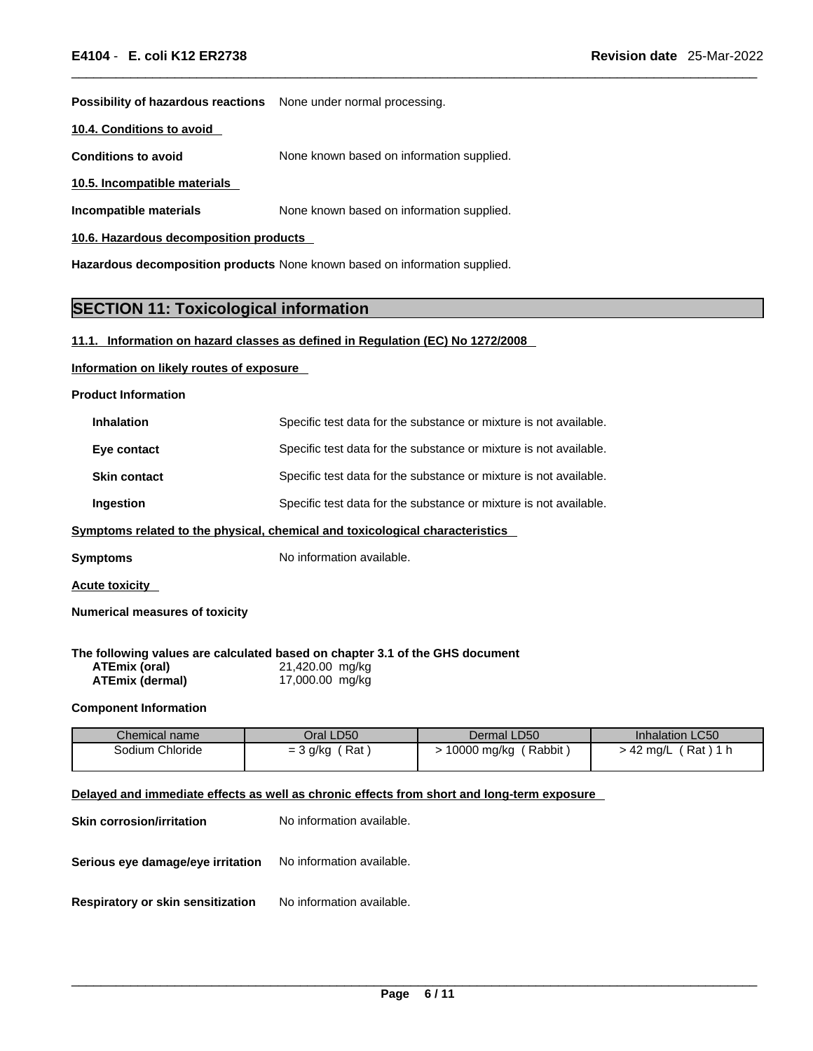**Possibility of hazardous reactions** None under normal processing.

**10.4. Conditions to avoid** 

**Conditions to avoid** None known based on information supplied.

**10.5. Incompatible materials**

**Incompatible materials** None known based on information supplied.

**10.6. Hazardous decomposition products** 

**Hazardous decomposition products** None known based on information supplied.

### **SECTION 11: Toxicological information**

### **11.1. Information on hazard classes as defined in Regulation (EC) No 1272/2008**

### **Information on likely routes of exposure**

**Product Information**

| <b>Inhalation</b>   | Specific test data for the substance or mixture is not available. |
|---------------------|-------------------------------------------------------------------|
| Eye contact         | Specific test data for the substance or mixture is not available. |
| <b>Skin contact</b> | Specific test data for the substance or mixture is not available. |
| Ingestion           | Specific test data for the substance or mixture is not available. |

### **<u>Symptoms related to the physical, chemical and toxicological characteristics</u>**

**Symptoms** No information available.

**Acute toxicity** 

**Numerical measures of toxicity**

**The following values are calculated based on chapter 3.1 of the GHS document**

| ATEmix (oral)          | 21,420.00 mg/kg |
|------------------------|-----------------|
| <b>ATEmix (dermal)</b> | 17,000.00 mg/kg |

### **Component Information**

| Chemical name   | Oral LD50         | Dermal LD50           | Inhalation LC50         |
|-----------------|-------------------|-----------------------|-------------------------|
| Sodium Chloride | Rat<br>$=$ 3 g/kg | Rabbit<br>10000 mg/kg | Rat)<br>$\cdot$ 42 ma/L |

### **Delayed and immediate effects as well as chronic effects from short and long-term exposure**

| <b>Skin corrosion/irritation</b>                                   | No information available. |
|--------------------------------------------------------------------|---------------------------|
| <b>Serious eye damage/eye irritation</b> No information available. |                           |
| Respiratory or skin sensitization                                  | No information available. |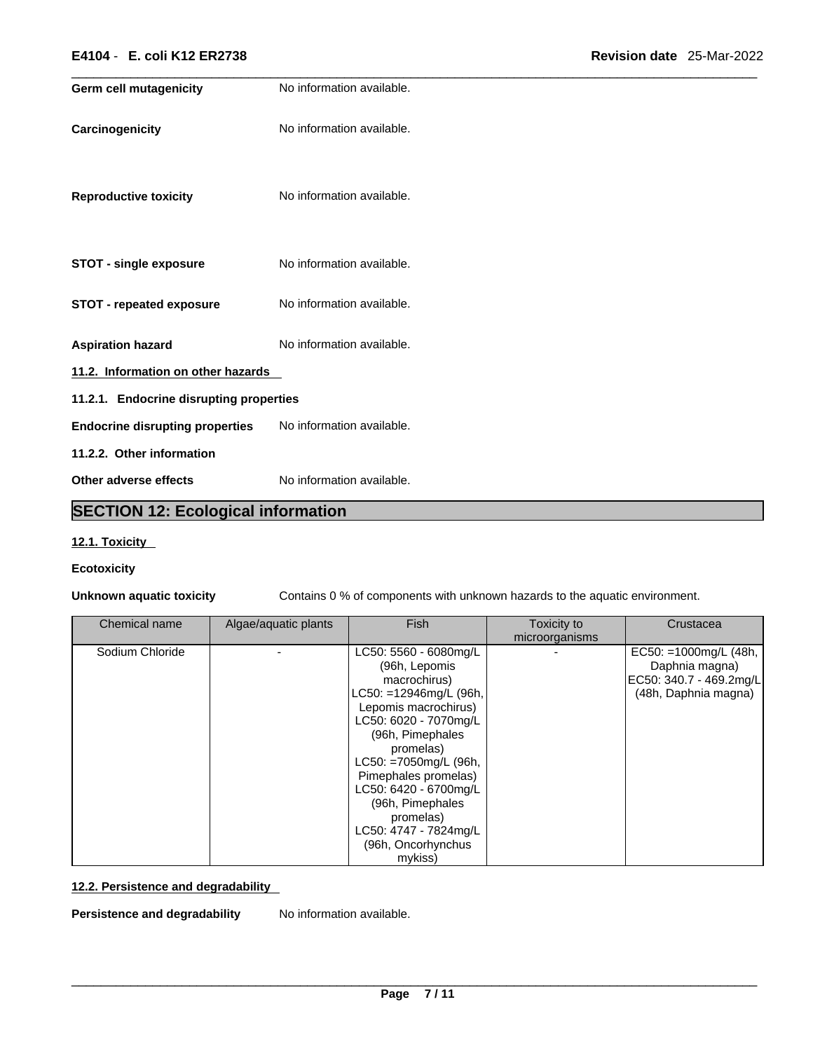| E4104 - E. coli K12 ER2738              |                           | Revision date 25-Mar-2022 |  |
|-----------------------------------------|---------------------------|---------------------------|--|
| <b>Germ cell mutagenicity</b>           | No information available. |                           |  |
| Carcinogenicity                         | No information available. |                           |  |
| <b>Reproductive toxicity</b>            | No information available. |                           |  |
| <b>STOT - single exposure</b>           | No information available. |                           |  |
| <b>STOT - repeated exposure</b>         | No information available. |                           |  |
| <b>Aspiration hazard</b>                | No information available. |                           |  |
| 11.2. Information on other hazards      |                           |                           |  |
| 11.2.1. Endocrine disrupting properties |                           |                           |  |
| <b>Endocrine disrupting properties</b>  | No information available. |                           |  |
| 11.2.2. Other information               |                           |                           |  |
| Other adverse effects                   | No information available. |                           |  |

### **SECTION 12: Ecological information**

### **12.1. Toxicity**

### **Ecotoxicity**

**Unknown aquatic toxicity** Contains 0 % of components with unknown hazards to the aquatic environment.

| Chemical name   | Algae/aquatic plants | <b>Fish</b>                                                                                                                                                                                                                                                                                                                             | Toxicity to<br>microorganisms | Crustacea                                                                                    |  |
|-----------------|----------------------|-----------------------------------------------------------------------------------------------------------------------------------------------------------------------------------------------------------------------------------------------------------------------------------------------------------------------------------------|-------------------------------|----------------------------------------------------------------------------------------------|--|
| Sodium Chloride |                      | LC50: 5560 - 6080mg/L<br>(96h, Lepomis<br>macrochirus)<br>LC50: =12946mg/L (96h,<br>Lepomis macrochirus)<br>LC50: 6020 - 7070mg/L<br>(96h, Pimephales<br>promelas)<br>LC50: =7050mg/L (96h,<br>Pimephales promelas)<br>LC50: 6420 - 6700mg/L<br>(96h, Pimephales<br>promelas)<br>LC50: 4747 - 7824mg/L<br>(96h, Oncorhynchus<br>mykiss) |                               | EC50: =1000mg/L $(48h,$<br>Daphnia magna)<br>EC50: 340.7 - 469.2mg/L<br>(48h, Daphnia magna) |  |

### **12.2. Persistence and degradability**

**Persistence and degradability** No information available.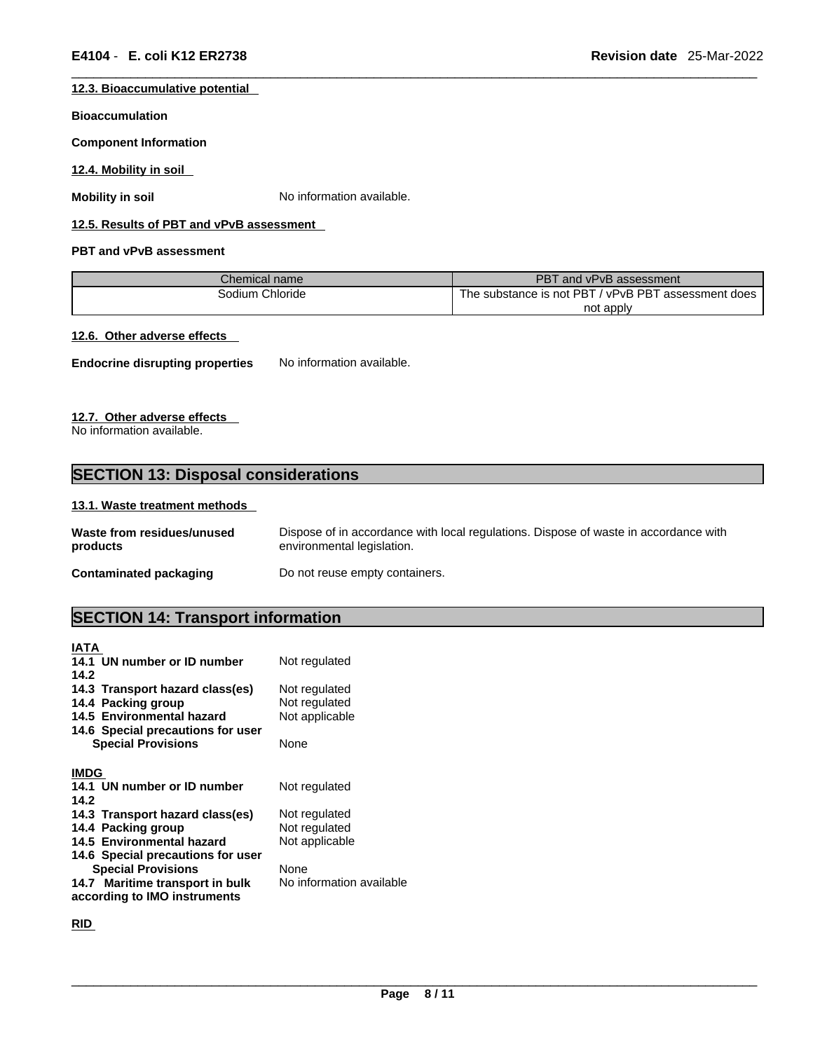### **12.3. Bioaccumulative potential**

#### **Bioaccumulation**

**Component Information**

**12.4. Mobility in soil** 

**Mobility in soil** No information available.

### **12.5. Results of PBT and vPvB assessment**

### **PBT and vPvB assessment**

| Chemical name   | PBT and vPvB assessment                             |
|-----------------|-----------------------------------------------------|
| Sodium Chloride | The substance is not PBT / vPvB PBT assessment does |
|                 | not apply                                           |

### **12.6. Other adverse effects**

**Endocrine disrupting properties** No information available.

### **12.7. Other adverse effects**

No information available.

### **SECTION 13: Disposal considerations**

### **13.1. Waste treatment methods**

| Waste from residues/unused | Dispose of in accordance with local regulations. Dispose of waste in accordance with |
|----------------------------|--------------------------------------------------------------------------------------|
| products                   | environmental legislation.                                                           |
| Contaminated packaging     | Do not reuse empty containers.                                                       |

### **SECTION 14: Transport information**

| <b>IATA</b>                       |                          |
|-----------------------------------|--------------------------|
| 14.1 UN number or ID number       | Not regulated            |
| 14.2                              |                          |
| 14.3 Transport hazard class(es)   | Not regulated            |
| 14.4 Packing group                | Not regulated            |
| 14.5 Environmental hazard         | Not applicable           |
| 14.6 Special precautions for user |                          |
| <b>Special Provisions</b>         | None                     |
|                                   |                          |
| <b>IMDG</b>                       |                          |
| 14.1 UN number or ID number       | Not regulated            |
| 14.2                              |                          |
| 14.3 Transport hazard class(es)   | Not regulated            |
| 14.4 Packing group                | Not regulated            |
| 14.5 Environmental hazard         | Not applicable           |
| 14.6 Special precautions for user |                          |
| <b>Special Provisions</b>         | None                     |
| 14.7 Maritime transport in bulk   | No information available |
| according to IMO instruments      |                          |

**RID**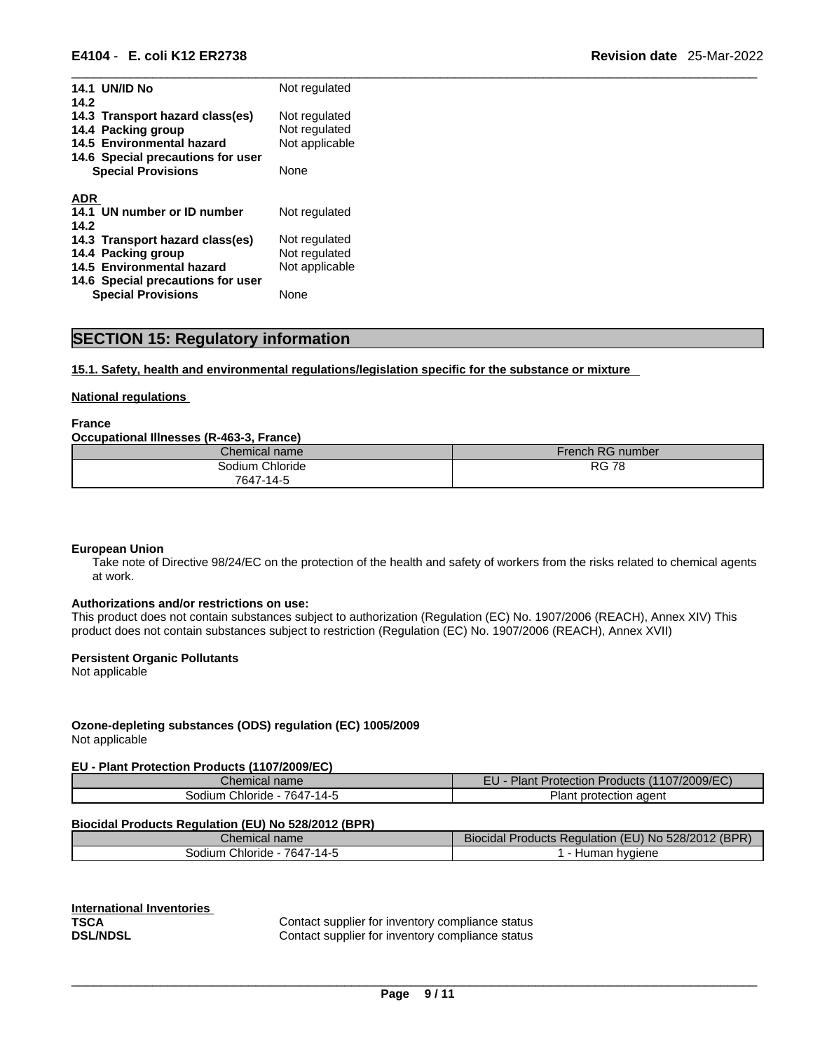| <b>14.1 UN/ID No</b><br>14.2                                                       | Not regulated                                    |
|------------------------------------------------------------------------------------|--------------------------------------------------|
| 14.3 Transport hazard class(es)<br>14.4 Packing group<br>14.5 Environmental hazard | Not regulated<br>Not regulated<br>Not applicable |
| 14.6 Special precautions for user<br><b>Special Provisions</b>                     | None                                             |
| ADR                                                                                |                                                  |
| 14.1 UN number or ID number                                                        | Not regulated                                    |
| 14.2                                                                               |                                                  |
| 14.3 Transport hazard class(es)                                                    | Not regulated                                    |
| 14.4 Packing group                                                                 | Not regulated                                    |
| 14.5 Environmental hazard                                                          | Not applicable                                   |
| 14.6 Special precautions for user                                                  |                                                  |
| <b>Special Provisions</b>                                                          | None                                             |

### **SECTION 15: Regulatory information**

### **15.1. Safety, health and environmental regulations/legislation specific for the substance or mixture**

### **National regulations**

**France** 

### **Occupational Illnesses (R-463-3, France)**

| Chemical name         | French RG number |
|-----------------------|------------------|
| Chloride ا<br>3odium. | <b>RG 78</b>     |
| 7647-14-5             |                  |

#### **European Union**

Take note of Directive 98/24/EC on the protection of the health and safety of workers from the risks related to chemical agents at work.

#### **Authorizations and/or restrictions on use:**

This product does not contain substances subject to authorization (Regulation (EC) No. 1907/2006 (REACH), Annex XIV) This product does not contain substances subject to restriction (Regulation (EC) No. 1907/2006 (REACH), Annex XVII)

### **Persistent Organic Pollutants**

Not applicable

### **Ozone-depleting substances (ODS) regulation (EC) 1005/2009**

Not applicable

### **EU - Plant Protection Products (1107/2009/EC)**

| Chem<br>litidi<br>пане                                             | mт.<br>1/2009/FC<br>- 1<br>$\blacksquare$<br>rotection<br>. <b>ANDCTS</b><br>iant<br>∸∪ |
|--------------------------------------------------------------------|-----------------------------------------------------------------------------------------|
| $\overline{\phantom{a}}$<br>. .<br>Chloride<br>30dium<br>ى 1<br>64 | agent<br><b>BOX 18</b><br>nrot<br>≅н.<br>πanτ                                           |

#### **Biocidal Products Regulation (EU) No 528/2012 (BPR)**

| <b>COLLECTION</b><br>Chemical name                              | $\overline{\phantom{a}}$<br>∠ (BPP)<br>.528/2012<br>I<br>roducts Regulation (<br>Biocidal<br>סמ ט<br>- IN F |
|-----------------------------------------------------------------|-------------------------------------------------------------------------------------------------------------|
| 7647<br>$\overline{\phantom{a}}$<br>Chloride<br>odiumش<br>7-14- | hvaiene<br>$\cdots$<br>пuн.<br>ulldi.                                                                       |

| <b>International Inventories</b> |            |
|----------------------------------|------------|
| TSCA                             | Contact su |
| <b>DSL/NDSL</b>                  | Contact su |

Contact supplier for inventory compliance status Contact supplier for inventory compliance status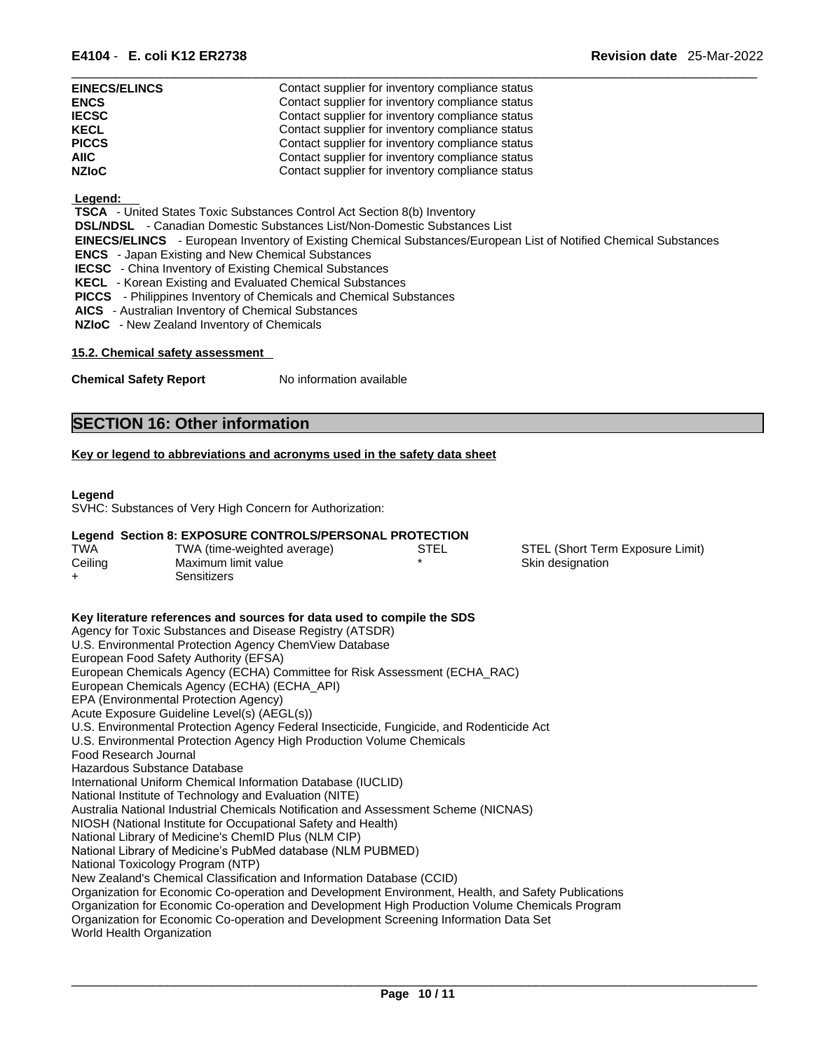| E4104 - | <b>E. coli K12 ER2738</b> | <b>Revision date</b> | 25-Mar-2022 |
|---------|---------------------------|----------------------|-------------|
|         |                           |                      |             |

| <b>EINECS/ELINCS</b> | Contact supplier for inventory compliance status |
|----------------------|--------------------------------------------------|
| <b>ENCS</b>          | Contact supplier for inventory compliance status |
| <b>IECSC</b>         | Contact supplier for inventory compliance status |
| <b>KECL</b>          | Contact supplier for inventory compliance status |
| <b>PICCS</b>         | Contact supplier for inventory compliance status |
| <b>AIIC</b>          | Contact supplier for inventory compliance status |
| <b>NZIoC</b>         | Contact supplier for inventory compliance status |

### **Legend:**

 **TSCA** - United States Toxic Substances Control Act Section 8(b) Inventory

 **DSL/NDSL** - Canadian Domestic Substances List/Non-Domestic Substances List

- **EINECS/ELINCS**  European Inventory of Existing Chemical Substances/European List of Notified Chemical Substances
- **ENCS**  Japan Existing and New Chemical Substances
- **IECSC**  China Inventory of Existing Chemical Substances
- **KECL**  Korean Existing and Evaluated Chemical Substances
- **PICCS**  Philippines Inventory of Chemicals and Chemical Substances
- **AICS**  Australian Inventory of Chemical Substances
- **NZIoC**  New Zealand Inventory of Chemicals

### **15.2. Chemical safety assessment**

**Chemical Safety Report** No information available

### **SECTION 16: Other information**

### **Key or legend to abbreviations and acronyms used in the safety data sheet**

### **Legend**

SVHC: Substances of Very High Concern for Authorization:

### **Legend Section 8: EXPOSURE CONTROLS/PERSONAL PROTECTION**

| <b>TWA</b> | TWA (time-weighted average) | STEL | STEL (Short Term Exposure Limit) |
|------------|-----------------------------|------|----------------------------------|
| Ceiling    | Maximum limit value         |      | Skin designation                 |
| ┷          | Sensitizers                 |      |                                  |

**Key literature references and sources for data used to compile the SDS** Agency for Toxic Substances and Disease Registry (ATSDR) U.S. Environmental Protection Agency ChemView Database European Food Safety Authority (EFSA) European Chemicals Agency (ECHA) Committee for Risk Assessment (ECHA\_RAC) European Chemicals Agency (ECHA) (ECHA\_API) EPA (Environmental Protection Agency) Acute Exposure Guideline Level(s) (AEGL(s)) U.S. Environmental Protection Agency Federal Insecticide, Fungicide, and Rodenticide Act U.S. Environmental Protection Agency High Production Volume Chemicals Food Research Journal Hazardous Substance Database International Uniform Chemical Information Database (IUCLID) National Institute of Technology and Evaluation (NITE) Australia National Industrial Chemicals Notification and Assessment Scheme (NICNAS) NIOSH (National Institute for Occupational Safety and Health) National Library of Medicine's ChemID Plus (NLM CIP) National Library of Medicine's PubMed database (NLM PUBMED) National Toxicology Program (NTP) New Zealand's Chemical Classification and Information Database (CCID) Organization for Economic Co-operation and Development Environment, Health, and Safety Publications Organization for Economic Co-operation and Development High Production Volume Chemicals Program Organization for Economic Co-operation and Development Screening Information Data Set World Health Organization